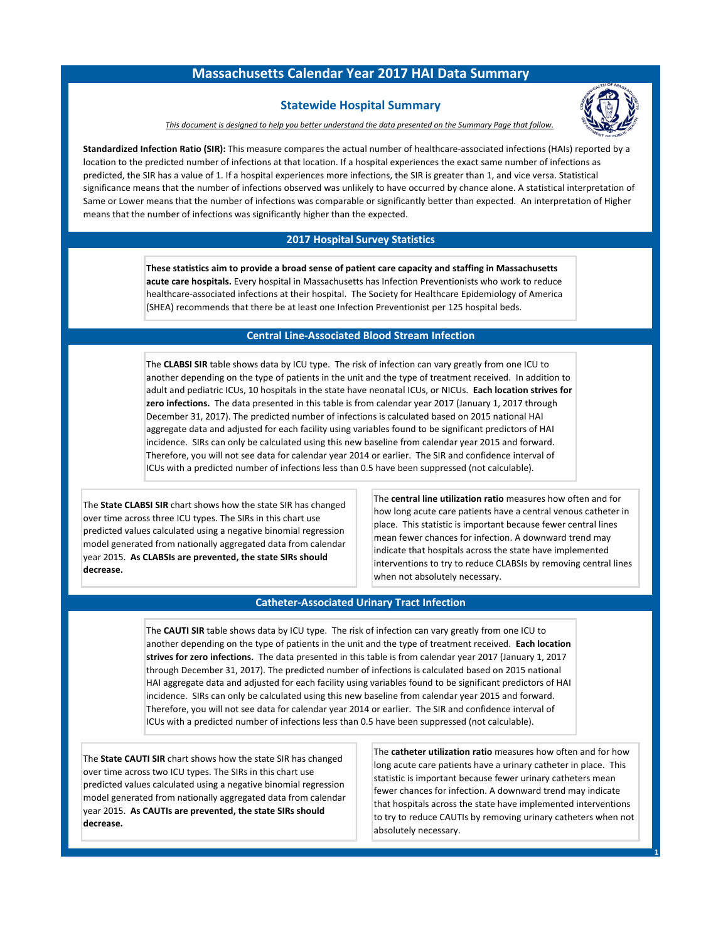# **Massachusetts Calendar Year 2017 HAI Data Summary**

## **Statewide Hospital Summary**



*This document is designed to help you better understand the data presented on the Summary Page that follow.*

**Standardized Infection Ratio (SIR):** This measure compares the actual number of healthcare-associated infections (HAIs) reported by a location to the predicted number of infections at that location. If a hospital experiences the exact same number of infections as predicted, the SIR has a value of 1. If a hospital experiences more infections, the SIR is greater than 1, and vice versa. Statistical significance means that the number of infections observed was unlikely to have occurred by chance alone. A statistical interpretation of Same or Lower means that the number of infections was comparable or significantly better than expected. An interpretation of Higher means that the number of infections was significantly higher than the expected.

### **2017 Hospital Survey Statistics**

**These statistics aim to provide a broad sense of patient care capacity and staffing in Massachusetts acute care hospitals.** Every hospital in Massachusetts has Infection Preventionists who work to reduce healthcare-associated infections at their hospital. The Society for Healthcare Epidemiology of America (SHEA) recommends that there be at least one Infection Preventionist per 125 hospital beds.

#### **Central Line-Associated Blood Stream Infection**

The **CLABSI SIR** table shows data by ICU type. The risk of infection can vary greatly from one ICU to another depending on the type of patients in the unit and the type of treatment received. In addition to adult and pediatric ICUs, 10 hospitals in the state have neonatal ICUs, or NICUs. **Each location strives for zero infections.** The data presented in this table is from calendar year 2017 (January 1, 2017 through December 31, 2017). The predicted number of infections is calculated based on 2015 national HAI aggregate data and adjusted for each facility using variables found to be significant predictors of HAI incidence. SIRs can only be calculated using this new baseline from calendar year 2015 and forward. Therefore, you will not see data for calendar year 2014 or earlier. The SIR and confidence interval of ICUs with a predicted number of infections less than 0.5 have been suppressed (not calculable).

The **State CLABSI SIR** chart shows how the state SIR has changed over time across three ICU types. The SIRs in this chart use predicted values calculated using a negative binomial regression model generated from nationally aggregated data from calendar year 2015. **As CLABSIs are prevented, the state SIRs should decrease.**

The **central line utilization ratio** measures how often and for how long acute care patients have a central venous catheter in place. This statistic is important because fewer central lines mean fewer chances for infection. A downward trend may indicate that hospitals across the state have implemented interventions to try to reduce CLABSIs by removing central lines when not absolutely necessary.

### **Catheter-Associated Urinary Tract Infection**

The **CAUTI SIR** table shows data by ICU type. The risk of infection can vary greatly from one ICU to another depending on the type of patients in the unit and the type of treatment received. **Each location strives for zero infections.** The data presented in this table is from calendar year 2017 (January 1, 2017 through December 31, 2017). The predicted number of infections is calculated based on 2015 national HAI aggregate data and adjusted for each facility using variables found to be significant predictors of HAI incidence. SIRs can only be calculated using this new baseline from calendar year 2015 and forward. Therefore, you will not see data for calendar year 2014 or earlier. The SIR and confidence interval of ICUs with a predicted number of infections less than 0.5 have been suppressed (not calculable).

The **State CAUTI SIR** chart shows how the state SIR has changed over time across two ICU types. The SIRs in this chart use predicted values calculated using a negative binomial regression model generated from nationally aggregated data from calendar year 2015. **As CAUTIs are prevented, the state SIRs should decrease.**

The **catheter utilization ratio** measures how often and for how long acute care patients have a urinary catheter in place. This statistic is important because fewer urinary catheters mean fewer chances for infection. A downward trend may indicate that hospitals across the state have implemented interventions to try to reduce CAUTIs by removing urinary catheters when not absolutely necessary.

**1**